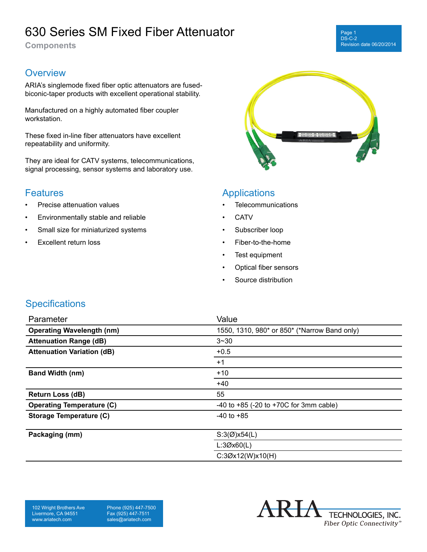# 630 Series SM Fixed Fiber Attenuator

**Components**

#### **Overview**

ARIA's singlemode fixed fiber optic attenuators are fusedbiconic-taper products with excellent operational stability.

Manufactured on a highly automated fiber coupler workstation.

These fixed in-line fiber attenuators have excellent repeatability and uniformity.

They are ideal for CATV systems, telecommunications, signal processing, sensor systems and laboratory use.

### **Features**

- Precise attenuation values
- Environmentally stable and reliable
- Small size for miniaturized systems
- **Excellent return loss**



#### Applications

- Telecommunications
- **CATV**
- Subscriber loop
- Fiber-to-the-home
- Test equipment
- Optical fiber sensors
- Source distribution

#### **Specifications**

| Parameter                         | Value                                           |
|-----------------------------------|-------------------------------------------------|
| <b>Operating Wavelength (nm)</b>  | 1550, 1310, 980* or 850* (*Narrow Band only)    |
| <b>Attenuation Range (dB)</b>     | $3 - 30$                                        |
| <b>Attenuation Variation (dB)</b> | $+0.5$                                          |
|                                   | $+1$                                            |
| <b>Band Width (nm)</b>            | $+10$                                           |
|                                   | $+40$                                           |
| <b>Return Loss (dB)</b>           | 55                                              |
| <b>Operating Temperature (C)</b>  | $-40$ to $+85$ ( $-20$ to $+70C$ for 3mm cable) |
| Storage Temperature (C)           | $-40$ to $+85$                                  |
|                                   |                                                 |
| Packaging (mm)                    | $S:3(\emptyset) \times 54(L)$                   |
|                                   | L:3Øx60(L)                                      |
|                                   | C:3Øx12(W)x10(H)                                |

-K I A TECHNOLOGIES, INC. Fiber Optic Connectivity®